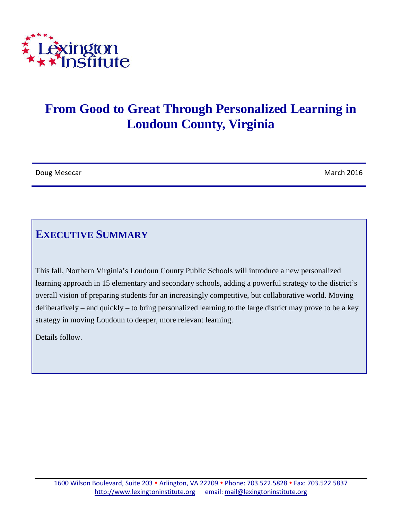

# **From Good to Great Through Personalized Learning in Loudoun County, Virginia**

| Doug Mesecar | March 2016 |
|--------------|------------|
|--------------|------------|

# **EXECUTIVE SUMMARY**

This fall, Northern Virginia's Loudoun County Public Schools will introduce a new personalized learning approach in 15 elementary and secondary schools, adding a powerful strategy to the district's overall vision of preparing students for an increasingly competitive, but collaborative world. Moving deliberatively – and quickly – to bring personalized learning to the large district may prove to be a key strategy in moving Loudoun to deeper, more relevant learning.

Details follow.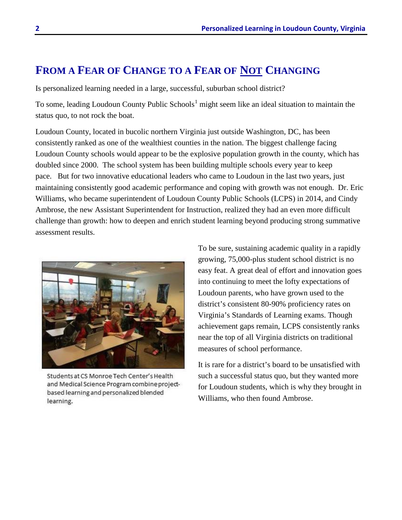### **FROM A FEAR OF CHANGE TO A FEAR OF NOT CHANGING**

Is personalized learning needed in a large, successful, suburban school district?

To some, leading Loudoun County Public Schools<sup>[1](#page-7-0)</sup> might seem like an ideal situation to maintain the status quo, to not rock the boat.

Loudoun County, located in bucolic northern Virginia just outside Washington, DC, has been consistently ranked as one of the wealthiest counties in the nation. The biggest challenge facing Loudoun County schools would appear to be the explosive population growth in the county, which has doubled since 2000. The school system has been building multiple schools every year to keep pace. But for two innovative educational leaders who came to Loudoun in the last two years, just maintaining consistently good academic performance and coping with growth was not enough. Dr. Eric Williams, who became superintendent of Loudoun County Public Schools (LCPS) in 2014, and Cindy Ambrose, the new Assistant Superintendent for Instruction, realized they had an even more difficult challenge than growth: how to deepen and enrich student learning beyond producing strong summative assessment results.



Students at CS Monroe Tech Center's Health and Medical Science Program combine projectbased learning and personalized blended learning.

To be sure, sustaining academic quality in a rapidly growing, 75,000-plus student school district is no easy feat. A great deal of effort and innovation goes into continuing to meet the lofty expectations of Loudoun parents, who have grown used to the district's consistent 80-90% proficiency rates on Virginia's Standards of Learning exams. Though achievement gaps remain, LCPS consistently ranks near the top of all Virginia districts on traditional measures of school performance.

It is rare for a district's board to be unsatisfied with such a successful status quo, but they wanted more for Loudoun students, which is why they brought in Williams, who then found Ambrose.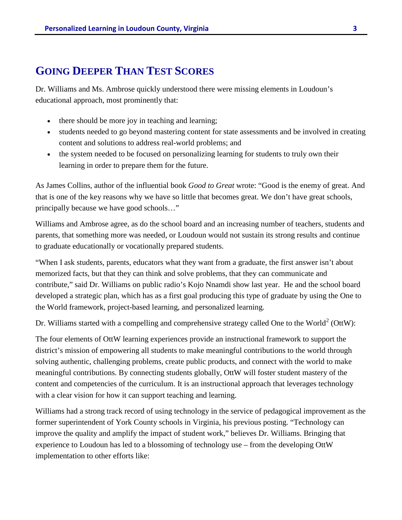#### **GOING DEEPER THAN TEST SCORES**

Dr. Williams and Ms. Ambrose quickly understood there were missing elements in Loudoun's educational approach, most prominently that:

- there should be more joy in teaching and learning;
- students needed to go beyond mastering content for state assessments and be involved in creating content and solutions to address real-world problems; and
- the system needed to be focused on personalizing learning for students to truly own their learning in order to prepare them for the future.

As James Collins, author of the influential book *Good to Great* wrote: "Good is the enemy of great. And that is one of the key reasons why we have so little that becomes great. We don't have great schools, principally because we have good schools…"

Williams and Ambrose agree, as do the school board and an increasing number of teachers, students and parents, that something more was needed, or Loudoun would not sustain its strong results and continue to graduate educationally or vocationally prepared students.

"When I ask students, parents, educators what they want from a graduate, the first answer isn't about memorized facts, but that they can think and solve problems, that they can communicate and contribute," said Dr. Williams on public radio's Kojo Nnamdi show last year. He and the school board developed a strategic plan, which has as a first goal producing this type of graduate by using the One to the World framework, project-based learning, and personalized learning.

Dr. Williams started with a compelling and comprehensive strategy called One to the World<sup>[2](#page-7-1)</sup> (OttW):

The four elements of OttW learning experiences provide an instructional framework to support the district's mission of empowering all students to make meaningful contributions to the world through solving authentic, challenging problems, create public products, and connect with the world to make meaningful contributions. By connecting students globally, OttW will foster student mastery of the content and competencies of the curriculum. It is an instructional approach that leverages technology with a clear vision for how it can support teaching and learning.

Williams had a strong track record of using technology in the service of pedagogical improvement as the former superintendent of York County schools in Virginia, his previous posting. "Technology can improve the quality and amplify the impact of student work," believes Dr. Williams. Bringing that experience to Loudoun has led to a blossoming of technology use – from the developing OttW implementation to other efforts like: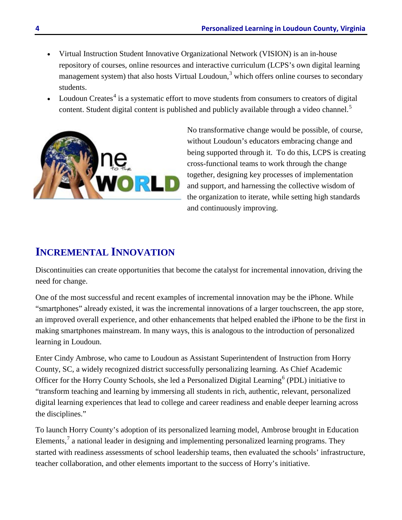- Virtual Instruction Student Innovative Organizational Network (VISION) is an in-house repository of courses, online resources and interactive curriculum (LCPS's own digital learning management system) that also hosts Virtual Loudoun,<sup>[3](#page-7-2)</sup> which offers online courses to secondary students.
- Loudoun Creates $4$  is a systematic effort to move students from consumers to creators of digital content. Student digital content is published and publicly available through a video channel.<sup>[5](#page-7-4)</sup>



No transformative change would be possible, of course, without Loudoun's educators embracing change and being supported through it. To do this, LCPS is creating cross-functional teams to work through the change together, designing key processes of implementation and support, and harnessing the collective wisdom of the organization to iterate, while setting high standards and continuously improving.

# **INCREMENTAL INNOVATION**

Discontinuities can create opportunities that become the catalyst for incremental innovation, driving the need for change.

One of the most successful and recent examples of incremental innovation may be the iPhone. While "smartphones" already existed, it was the incremental innovations of a larger touchscreen, the app store, an improved overall experience, and other enhancements that helped enabled the iPhone to be the first in making smartphones mainstream. In many ways, this is analogous to the introduction of personalized learning in Loudoun.

Enter Cindy Ambrose, who came to Loudoun as Assistant Superintendent of Instruction from Horry County, SC, a widely recognized district successfully personalizing learning. As Chief Academic Officer for the Horry County Schools, she led a Personalized Digital Learning<sup>[6](#page-7-5)</sup> (PDL) initiative to "transform teaching and learning by immersing all students in rich, authentic, relevant, personalized digital learning experiences that lead to college and career readiness and enable deeper learning across the disciplines."

To launch Horry County's adoption of its personalized learning model, Ambrose brought in Education Elements, $\frac{7}{1}$  $\frac{7}{1}$  $\frac{7}{1}$  a national leader in designing and implementing personalized learning programs. They started with readiness assessments of school leadership teams, then evaluated the schools' infrastructure, teacher collaboration, and other elements important to the success of Horry's initiative.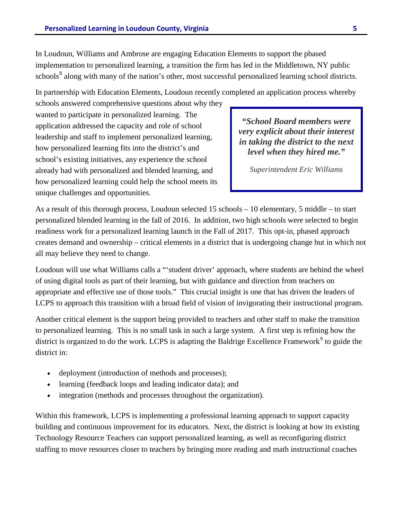In Loudoun, Williams and Ambrose are engaging Education Elements to support the phased implementation to personalized learning, a transition the firm has led in the Middletown, NY public schools<sup>[8](#page-7-7)</sup> along with many of the nation's other, most successful personalized learning school districts.

In partnership with Education Elements, Loudoun recently completed an application process whereby

schools answered comprehensive questions about why they wanted to participate in personalized learning. The application addressed the capacity and role of school leadership and staff to implement personalized learning, how personalized learning fits into the district's and school's existing initiatives, any experience the school already had with personalized and blended learning, and how personalized learning could help the school meets its unique challenges and opportunities.

*"School Board members were very explicit about their interest in taking the district to the next level when they hired me."*

*Superintendent Eric Williams*

As a result of this thorough process, Loudoun selected 15 schools – 10 elementary, 5 middle – to start personalized blended learning in the fall of 2016. In addition, two high schools were selected to begin readiness work for a personalized learning launch in the Fall of 2017. This opt-in, phased approach creates demand and ownership – critical elements in a district that is undergoing change but in which not all may believe they need to change.

Loudoun will use what Williams calls a "'student driver' approach, where students are behind the wheel of using digital tools as part of their learning, but with guidance and direction from teachers on appropriate and effective use of those tools." This crucial insight is one that has driven the leaders of LCPS to approach this transition with a broad field of vision of invigorating their instructional program.

Another critical element is the support being provided to teachers and other staff to make the transition to personalized learning. This is no small task in such a large system. A first step is refining how the district is organized to do the work. LCPS is adapting the Baldrige Excellence Framework<sup>[9](#page-7-8)</sup> to guide the district in:

- deployment (introduction of methods and processes);
- learning (feedback loops and leading indicator data); and
- integration (methods and processes throughout the organization).

Within this framework, LCPS is implementing a professional learning approach to support capacity building and continuous improvement for its educators. Next, the district is looking at how its existing Technology Resource Teachers can support personalized learning, as well as reconfiguring district staffing to move resources closer to teachers by bringing more reading and math instructional coaches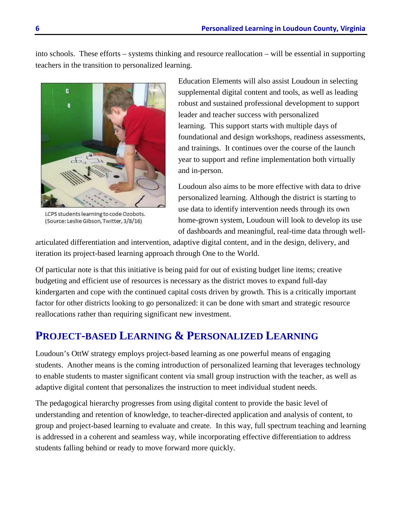into schools. These efforts – systems thinking and resource reallocation – will be essential in supporting teachers in the transition to personalized learning.



LCPS students learning to code Ozobots. (Source: Leslie Gibson, Twitter, 3/8/16)

Education Elements will also assist Loudoun in selecting supplemental digital content and tools, as well as leading robust and sustained professional development to support leader and teacher success with personalized learning. This support starts with multiple days of foundational and design workshops, readiness assessments, and trainings. It continues over the course of the launch year to support and refine implementation both virtually and in-person.

Loudoun also aims to be more effective with data to drive personalized learning. Although the district is starting to use data to identify intervention needs through its own home-grown system, Loudoun will look to develop its use of dashboards and meaningful, real-time data through well-

articulated differentiation and intervention, adaptive digital content, and in the design, delivery, and iteration its project-based learning approach through One to the World.

Of particular note is that this initiative is being paid for out of existing budget line items; creative budgeting and efficient use of resources is necessary as the district moves to expand full-day kindergarten and cope with the continued capital costs driven by growth. This is a critically important factor for other districts looking to go personalized: it can be done with smart and strategic resource reallocations rather than requiring significant new investment.

# **PROJECT-BASED LEARNING & PERSONALIZED LEARNING**

Loudoun's OttW strategy employs project-based learning as one powerful means of engaging students. Another means is the coming introduction of personalized learning that leverages technology to enable students to master significant content via small group instruction with the teacher, as well as adaptive digital content that personalizes the instruction to meet individual student needs.

The pedagogical hierarchy progresses from using digital content to provide the basic level of understanding and retention of knowledge, to teacher-directed application and analysis of content, to group and project-based learning to evaluate and create. In this way, full spectrum teaching and learning is addressed in a coherent and seamless way, while incorporating effective differentiation to address students falling behind or ready to move forward more quickly.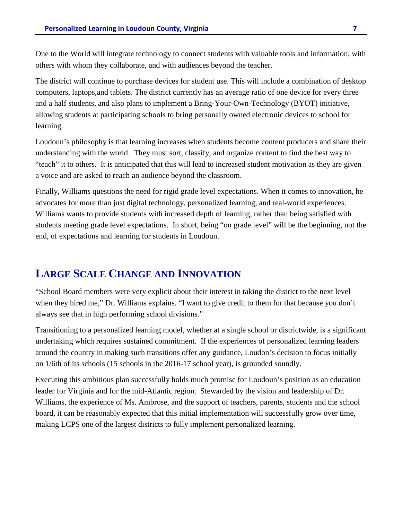One to the World will integrate technology to connect students with valuable tools and information, with others with whom they collaborate, and with audiences beyond the teacher.

The district will continue to purchase devices for student use. This will include a combination of desktop computers, laptops,and tablets. The district currently has an average ratio of one device for every three and a half students, and also plans to implement a Bring-Your-Own-Technology (BYOT) initiative, allowing students at participating schools to bring personally owned electronic devices to school for learning.

Loudoun's philosophy is that learning increases when students become content producers and share their understanding with the world. They must sort, classify, and organize content to find the best way to "teach" it to others. It is anticipated that this will lead to increased student motivation as they are given a voice and are asked to reach an audience beyond the classroom.

Finally, Williams questions the need for rigid grade level expectations. When it comes to innovation, he advocates for more than just digital technology, personalized learning, and real-world experiences. Williams wants to provide students with increased depth of learning, rather than being satisfied with students meeting grade level expectations. In short, being "on grade level" will be the beginning, not the end, of expectations and learning for students in Loudoun.

### **LARGE SCALE CHANGE AND INNOVATION**

"School Board members were very explicit about their interest in taking the district to the next level when they hired me," Dr. Williams explains. "I want to give credit to them for that because you don't always see that in high performing school divisions."

Transitioning to a personalized learning model, whether at a single school or districtwide, is a significant undertaking which requires sustained commitment. If the experiences of personalized learning leaders around the country in making such transitions offer any guidance, Loudon's decision to focus initially on 1/6th of its schools (15 schools in the 2016-17 school year), is grounded soundly.

Executing this ambitious plan successfully holds much promise for Loudoun's position as an education leader for Virginia and for the mid-Atlantic region. Stewarded by the vision and leadership of Dr. Williams, the experience of Ms. Ambrose, and the support of teachers, parents, students and the school board, it can be reasonably expected that this initial implementation will successfully grow over time, making LCPS one of the largest districts to fully implement personalized learning.